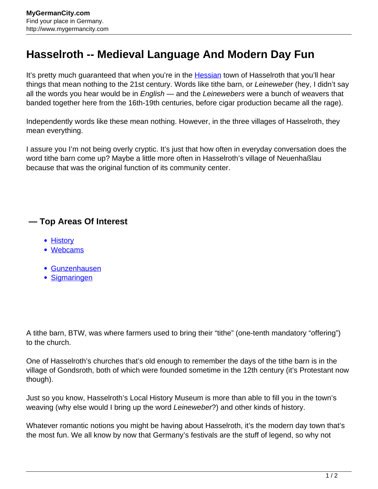## **Hasselroth -- Medieval Language And Modern Day Fun**

It's pretty much guaranteed that when you're in the [Hessian](http://www.mygermancity.com/hesse) town of Hasselroth that you'll hear things that mean nothing to the 21st century. Words like tithe barn, or Leineweber (hey, I didn't say all the words you hear would be in *English* — and the Leinewebers were a bunch of weavers that banded together here from the 16th-19th centuries, before cigar production became all the rage).

Independently words like these mean nothing. However, in the three villages of Hasselroth, they mean everything.

I assure you I'm not being overly cryptic. It's just that how often in everyday conversation does the word tithe barn come up? Maybe a little more often in Hasselroth's village of Neuenhaßlau because that was the original function of its community center.

## **— Top Areas Of Interest**

- **[History](http://www.mygermancity.com/leipzig-history)**
- [Webcams](http://www.mygermancity.com/neustadt-holstein-webcams)
- [Gunzenhausen](http://www.mygermancity.com/gunzenhausen)
- [Sigmaringen](http://www.mygermancity.com/sigmaringen)

A tithe barn, BTW, was where farmers used to bring their "tithe" (one-tenth mandatory "offering") to the church.

One of Hasselroth's churches that's old enough to remember the days of the tithe barn is in the village of Gondsroth, both of which were founded sometime in the 12th century (it's Protestant now though).

Just so you know, Hasselroth's Local History Museum is more than able to fill you in the town's weaving (why else would I bring up the word Leineweber?) and other kinds of history.

Whatever romantic notions you might be having about Hasselroth, it's the modern day town that's the most fun. We all know by now that Germany's festivals are the stuff of legend, so why not